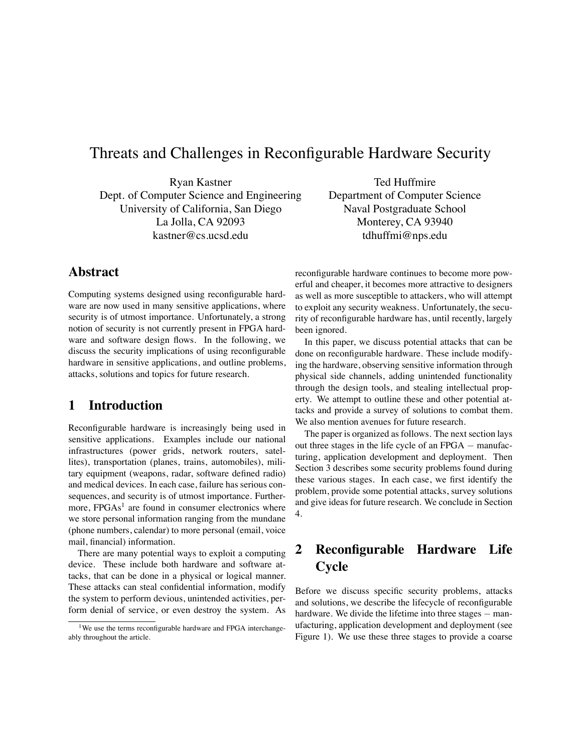# Threats and Challenges in Reconfigurable Hardware Security

Ryan Kastner Dept. of Computer Science and Engineering University of California, San Diego La Jolla, CA 92093 kastner@cs.ucsd.edu

**Abstract**

Computing systems designed using reconfigurable hardware are now used in many sensitive applications, where security is of utmost importance. Unfortunately, a strong notion of security is not currently present in FPGA hardware and software design flows. In the following, we discuss the security implications of using reconfigurable hardware in sensitive applications, and outline problems, attacks, solutions and topics for future research.

# **1 Introduction**

Reconfigurable hardware is increasingly being used in sensitive applications. Examples include our national infrastructures (power grids, network routers, satellites), transportation (planes, trains, automobiles), military equipment (weapons, radar, software defined radio) and medical devices. In each case, failure has serious consequences, and security is of utmost importance. Furthermore,  $FPGAs<sup>1</sup>$  are found in consumer electronics where we store personal information ranging from the mundane (phone numbers, calendar) to more personal (email, voice mail, financial) information.

There are many potential ways to exploit a computing device. These include both hardware and software attacks, that can be done in a physical or logical manner. These attacks can steal confidential information, modify the system to perform devious, unintended activities, perform denial of service, or even destroy the system. As

Ted Huffmire Department of Computer Science Naval Postgraduate School Monterey, CA 93940 tdhuffmi@nps.edu

reconfigurable hardware continues to become more powerful and cheaper, it becomes more attractive to designers as well as more susceptible to attackers, who will attempt to exploit any security weakness. Unfortunately, the security of reconfigurable hardware has, until recently, largely been ignored.

In this paper, we discuss potential attacks that can be done on reconfigurable hardware. These include modifying the hardware, observing sensitive information through physical side channels, adding unintended functionality through the design tools, and stealing intellectual property. We attempt to outline these and other potential attacks and provide a survey of solutions to combat them. We also mention avenues for future research.

The paper is organized as follows. The next section lays out three stages in the life cycle of an FPGA – manufacturing, application development and deployment. Then Section 3 describes some security problems found during these various stages. In each case, we first identify the problem, provide some potential attacks, survey solutions and give ideas for future research. We conclude in Section 4.

# **2 Reconfigurable Hardware Life Cycle**

Before we discuss specific security problems, attacks and solutions, we describe the lifecycle of reconfigurable hardware. We divide the lifetime into three stages – manufacturing, application development and deployment (see Figure 1). We use these three stages to provide a coarse

<sup>&</sup>lt;sup>1</sup>We use the terms reconfigurable hardware and FPGA interchangeably throughout the article.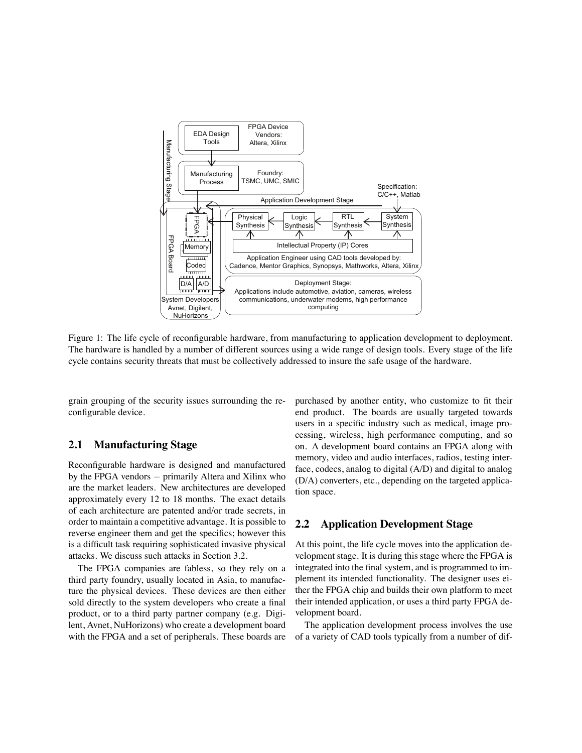

Figure 1: The life cycle of reconfigurable hardware, from manufacturing to application development to deployment. The hardware is handled by a number of different sources using a wide range of design tools. Every stage of the life cycle contains security threats that must be collectively addressed to insure the safe usage of the hardware.

grain grouping of the security issues surrounding the reconfigurable device.

# **2.1 Manufacturing Stage**

Reconfigurable hardware is designed and manufactured by the FPGA vendors − primarily Altera and Xilinx who are the market leaders. New architectures are developed approximately every 12 to 18 months. The exact details of each architecture are patented and/or trade secrets, in order to maintain a competitive advantage. It is possible to reverse engineer them and get the specifics; however this is a difficult task requiring sophisticated invasive physical attacks. We discuss such attacks in Section 3.2.

The FPGA companies are fabless, so they rely on a third party foundry, usually located in Asia, to manufacture the physical devices. These devices are then either sold directly to the system developers who create a final product, or to a third party partner company (e.g. Digilent, Avnet, NuHorizons) who create a development board with the FPGA and a set of peripherals. These boards are purchased by another entity, who customize to fit their end product. The boards are usually targeted towards users in a specific industry such as medical, image processing, wireless, high performance computing, and so on. A development board contains an FPGA along with memory, video and audio interfaces, radios, testing interface, codecs, analog to digital (A/D) and digital to analog (D/A) converters, etc., depending on the targeted application space.

### **2.2 Application Development Stage**

At this point, the life cycle moves into the application development stage. It is during this stage where the FPGA is integrated into the final system, and is programmed to implement its intended functionality. The designer uses either the FPGA chip and builds their own platform to meet their intended application, or uses a third party FPGA development board.

The application development process involves the use of a variety of CAD tools typically from a number of dif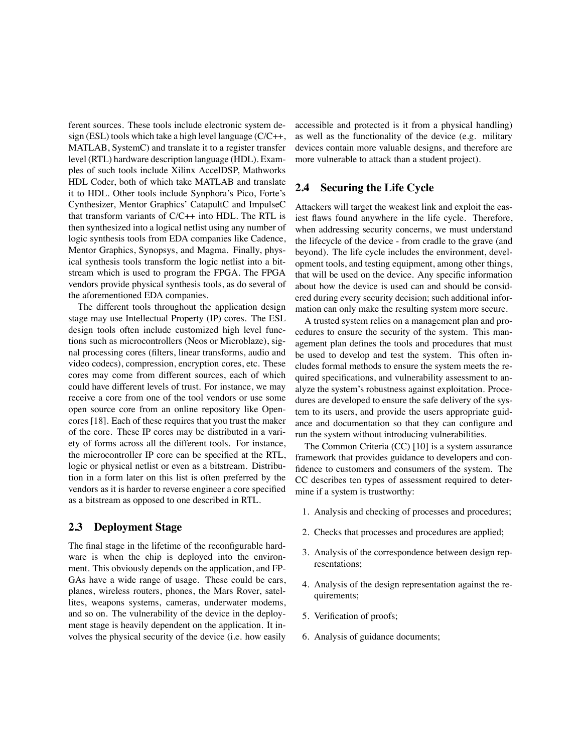ferent sources. These tools include electronic system design (ESL) tools which take a high level language (C/C++, MATLAB, SystemC) and translate it to a register transfer level (RTL) hardware description language (HDL). Examples of such tools include Xilinx AccelDSP, Mathworks HDL Coder, both of which take MATLAB and translate it to HDL. Other tools include Synphora's Pico, Forte's Cynthesizer, Mentor Graphics' CatapultC and ImpulseC that transform variants of C/C++ into HDL. The RTL is then synthesized into a logical netlist using any number of logic synthesis tools from EDA companies like Cadence, Mentor Graphics, Synopsys, and Magma. Finally, physical synthesis tools transform the logic netlist into a bitstream which is used to program the FPGA. The FPGA vendors provide physical synthesis tools, as do several of the aforementioned EDA companies.

The different tools throughout the application design stage may use Intellectual Property (IP) cores. The ESL design tools often include customized high level functions such as microcontrollers (Neos or Microblaze), signal processing cores (filters, linear transforms, audio and video codecs), compression, encryption cores, etc. These cores may come from different sources, each of which could have different levels of trust. For instance, we may receive a core from one of the tool vendors or use some open source core from an online repository like Opencores [18]. Each of these requires that you trust the maker of the core. These IP cores may be distributed in a variety of forms across all the different tools. For instance, the microcontroller IP core can be specified at the RTL, logic or physical netlist or even as a bitstream. Distribution in a form later on this list is often preferred by the vendors as it is harder to reverse engineer a core specified as a bitstream as opposed to one described in RTL.

# **2.3 Deployment Stage**

The final stage in the lifetime of the reconfigurable hardware is when the chip is deployed into the environment. This obviously depends on the application, and FP-GAs have a wide range of usage. These could be cars, planes, wireless routers, phones, the Mars Rover, satellites, weapons systems, cameras, underwater modems, and so on. The vulnerability of the device in the deployment stage is heavily dependent on the application. It involves the physical security of the device (i.e. how easily accessible and protected is it from a physical handling) as well as the functionality of the device (e.g. military devices contain more valuable designs, and therefore are more vulnerable to attack than a student project).

# **2.4 Securing the Life Cycle**

Attackers will target the weakest link and exploit the easiest flaws found anywhere in the life cycle. Therefore, when addressing security concerns, we must understand the lifecycle of the device - from cradle to the grave (and beyond). The life cycle includes the environment, development tools, and testing equipment, among other things, that will be used on the device. Any specific information about how the device is used can and should be considered during every security decision; such additional information can only make the resulting system more secure.

A trusted system relies on a management plan and procedures to ensure the security of the system. This management plan defines the tools and procedures that must be used to develop and test the system. This often includes formal methods to ensure the system meets the required specifications, and vulnerability assessment to analyze the system's robustness against exploitation. Procedures are developed to ensure the safe delivery of the system to its users, and provide the users appropriate guidance and documentation so that they can configure and run the system without introducing vulnerabilities.

The Common Criteria (CC) [10] is a system assurance framework that provides guidance to developers and confidence to customers and consumers of the system. The CC describes ten types of assessment required to determine if a system is trustworthy:

- 1. Analysis and checking of processes and procedures;
- 2. Checks that processes and procedures are applied;
- 3. Analysis of the correspondence between design representations;
- 4. Analysis of the design representation against the requirements;
- 5. Verification of proofs;
- 6. Analysis of guidance documents;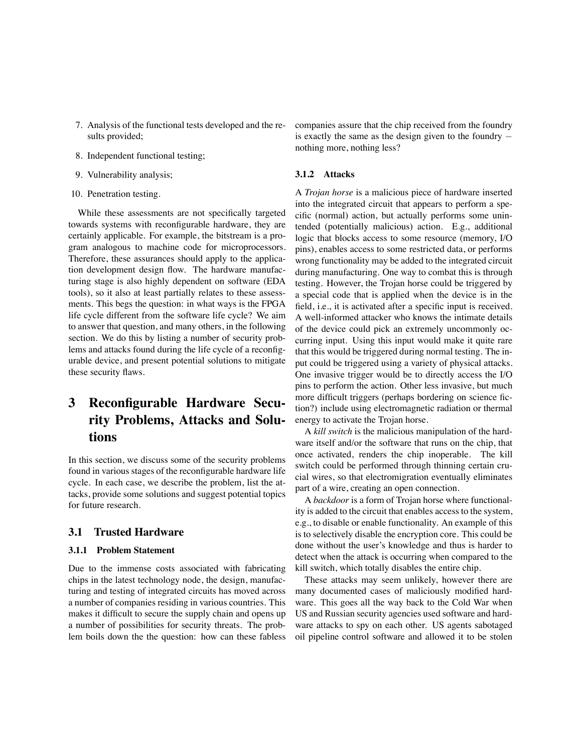- 7. Analysis of the functional tests developed and the results provided;
- 8. Independent functional testing;
- 9. Vulnerability analysis;
- 10. Penetration testing.

While these assessments are not specifically targeted towards systems with reconfigurable hardware, they are certainly applicable. For example, the bitstream is a program analogous to machine code for microprocessors. Therefore, these assurances should apply to the application development design flow. The hardware manufacturing stage is also highly dependent on software (EDA tools), so it also at least partially relates to these assessments. This begs the question: in what ways is the FPGA life cycle different from the software life cycle? We aim to answer that question, and many others, in the following section. We do this by listing a number of security problems and attacks found during the life cycle of a reconfigurable device, and present potential solutions to mitigate these security flaws.

# **3 Reconfigurable Hardware Security Problems, Attacks and Solutions**

In this section, we discuss some of the security problems found in various stages of the reconfigurable hardware life cycle. In each case, we describe the problem, list the attacks, provide some solutions and suggest potential topics for future research.

## **3.1 Trusted Hardware**

#### **3.1.1 Problem Statement**

Due to the immense costs associated with fabricating chips in the latest technology node, the design, manufacturing and testing of integrated circuits has moved across a number of companies residing in various countries. This makes it difficult to secure the supply chain and opens up a number of possibilities for security threats. The problem boils down the the question: how can these fabless

companies assure that the chip received from the foundry is exactly the same as the design given to the foundry − nothing more, nothing less?

#### **3.1.2 Attacks**

A *Trojan horse* is a malicious piece of hardware inserted into the integrated circuit that appears to perform a specific (normal) action, but actually performs some unintended (potentially malicious) action. E.g., additional logic that blocks access to some resource (memory, I/O pins), enables access to some restricted data, or performs wrong functionality may be added to the integrated circuit during manufacturing. One way to combat this is through testing. However, the Trojan horse could be triggered by a special code that is applied when the device is in the field, i.e., it is activated after a specific input is received. A well-informed attacker who knows the intimate details of the device could pick an extremely uncommonly occurring input. Using this input would make it quite rare that this would be triggered during normal testing. The input could be triggered using a variety of physical attacks. One invasive trigger would be to directly access the I/O pins to perform the action. Other less invasive, but much more difficult triggers (perhaps bordering on science fiction?) include using electromagnetic radiation or thermal energy to activate the Trojan horse.

A *kill switch* is the malicious manipulation of the hardware itself and/or the software that runs on the chip, that once activated, renders the chip inoperable. The kill switch could be performed through thinning certain crucial wires, so that electromigration eventually eliminates part of a wire, creating an open connection.

A *backdoor* is a form of Trojan horse where functionality is added to the circuit that enables access to the system, e.g., to disable or enable functionality. An example of this is to selectively disable the encryption core. This could be done without the user's knowledge and thus is harder to detect when the attack is occurring when compared to the kill switch, which totally disables the entire chip.

These attacks may seem unlikely, however there are many documented cases of maliciously modified hardware. This goes all the way back to the Cold War when US and Russian security agencies used software and hardware attacks to spy on each other. US agents sabotaged oil pipeline control software and allowed it to be stolen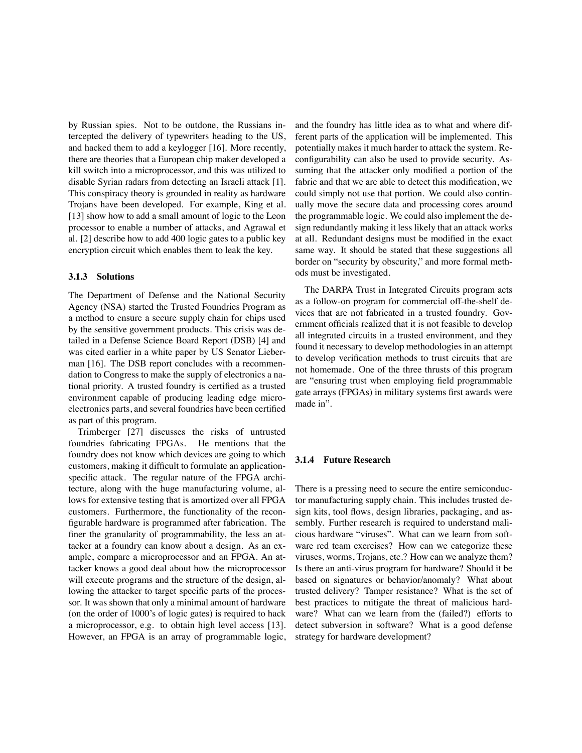by Russian spies. Not to be outdone, the Russians intercepted the delivery of typewriters heading to the US, and hacked them to add a keylogger [16]. More recently, there are theories that a European chip maker developed a kill switch into a microprocessor, and this was utilized to disable Syrian radars from detecting an Israeli attack [1]. This conspiracy theory is grounded in reality as hardware Trojans have been developed. For example, King et al. [13] show how to add a small amount of logic to the Leon processor to enable a number of attacks, and Agrawal et al. [2] describe how to add 400 logic gates to a public key encryption circuit which enables them to leak the key.

#### **3.1.3 Solutions**

The Department of Defense and the National Security Agency (NSA) started the Trusted Foundries Program as a method to ensure a secure supply chain for chips used by the sensitive government products. This crisis was detailed in a Defense Science Board Report (DSB) [4] and was cited earlier in a white paper by US Senator Lieberman [16]. The DSB report concludes with a recommendation to Congress to make the supply of electronics a national priority. A trusted foundry is certified as a trusted environment capable of producing leading edge microelectronics parts, and several foundries have been certified as part of this program.

Trimberger [27] discusses the risks of untrusted foundries fabricating FPGAs. He mentions that the foundry does not know which devices are going to which customers, making it difficult to formulate an applicationspecific attack. The regular nature of the FPGA architecture, along with the huge manufacturing volume, allows for extensive testing that is amortized over all FPGA customers. Furthermore, the functionality of the reconfigurable hardware is programmed after fabrication. The finer the granularity of programmability, the less an attacker at a foundry can know about a design. As an example, compare a microprocessor and an FPGA. An attacker knows a good deal about how the microprocessor will execute programs and the structure of the design, allowing the attacker to target specific parts of the processor. It was shown that only a minimal amount of hardware (on the order of 1000's of logic gates) is required to hack a microprocessor, e.g. to obtain high level access [13]. However, an FPGA is an array of programmable logic, and the foundry has little idea as to what and where different parts of the application will be implemented. This potentially makes it much harder to attack the system. Reconfigurability can also be used to provide security. Assuming that the attacker only modified a portion of the fabric and that we are able to detect this modification, we could simply not use that portion. We could also continually move the secure data and processing cores around the programmable logic. We could also implement the design redundantly making it less likely that an attack works at all. Redundant designs must be modified in the exact same way. It should be stated that these suggestions all border on "security by obscurity," and more formal methods must be investigated.

The DARPA Trust in Integrated Circuits program acts as a follow-on program for commercial off-the-shelf devices that are not fabricated in a trusted foundry. Government officials realized that it is not feasible to develop all integrated circuits in a trusted environment, and they found it necessary to develop methodologies in an attempt to develop verification methods to trust circuits that are not homemade. One of the three thrusts of this program are "ensuring trust when employing field programmable gate arrays (FPGAs) in military systems first awards were made in".

## **3.1.4 Future Research**

There is a pressing need to secure the entire semiconductor manufacturing supply chain. This includes trusted design kits, tool flows, design libraries, packaging, and assembly. Further research is required to understand malicious hardware "viruses". What can we learn from software red team exercises? How can we categorize these viruses, worms, Trojans, etc.? How can we analyze them? Is there an anti-virus program for hardware? Should it be based on signatures or behavior/anomaly? What about trusted delivery? Tamper resistance? What is the set of best practices to mitigate the threat of malicious hardware? What can we learn from the (failed?) efforts to detect subversion in software? What is a good defense strategy for hardware development?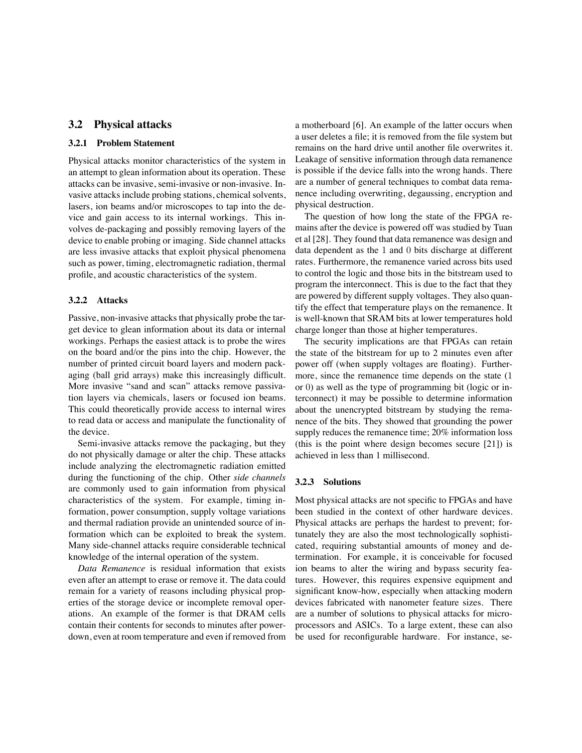# **3.2 Physical attacks**

### **3.2.1 Problem Statement**

Physical attacks monitor characteristics of the system in an attempt to glean information about its operation. These attacks can be invasive, semi-invasive or non-invasive. Invasive attacks include probing stations, chemical solvents, lasers, ion beams and/or microscopes to tap into the device and gain access to its internal workings. This involves de-packaging and possibly removing layers of the device to enable probing or imaging. Side channel attacks are less invasive attacks that exploit physical phenomena such as power, timing, electromagnetic radiation, thermal profile, and acoustic characteristics of the system.

#### **3.2.2 Attacks**

Passive, non-invasive attacks that physically probe the target device to glean information about its data or internal workings. Perhaps the easiest attack is to probe the wires on the board and/or the pins into the chip. However, the number of printed circuit board layers and modern packaging (ball grid arrays) make this increasingly difficult. More invasive "sand and scan" attacks remove passivation layers via chemicals, lasers or focused ion beams. This could theoretically provide access to internal wires to read data or access and manipulate the functionality of the device.

Semi-invasive attacks remove the packaging, but they do not physically damage or alter the chip. These attacks include analyzing the electromagnetic radiation emitted during the functioning of the chip. Other *side channels* are commonly used to gain information from physical characteristics of the system. For example, timing information, power consumption, supply voltage variations and thermal radiation provide an unintended source of information which can be exploited to break the system. Many side-channel attacks require considerable technical knowledge of the internal operation of the system.

*Data Remanence* is residual information that exists even after an attempt to erase or remove it. The data could remain for a variety of reasons including physical properties of the storage device or incomplete removal operations. An example of the former is that DRAM cells contain their contents for seconds to minutes after powerdown, even at room temperature and even if removed from

a motherboard [6]. An example of the latter occurs when a user deletes a file; it is removed from the file system but remains on the hard drive until another file overwrites it. Leakage of sensitive information through data remanence is possible if the device falls into the wrong hands. There are a number of general techniques to combat data remanence including overwriting, degaussing, encryption and physical destruction.

The question of how long the state of the FPGA remains after the device is powered off was studied by Tuan et al [28]. They found that data remanence was design and data dependent as the 1 and 0 bits discharge at different rates. Furthermore, the remanence varied across bits used to control the logic and those bits in the bitstream used to program the interconnect. This is due to the fact that they are powered by different supply voltages. They also quantify the effect that temperature plays on the remanence. It is well-known that SRAM bits at lower temperatures hold charge longer than those at higher temperatures.

The security implications are that FPGAs can retain the state of the bitstream for up to 2 minutes even after power off (when supply voltages are floating). Furthermore, since the remanence time depends on the state (1 or 0) as well as the type of programming bit (logic or interconnect) it may be possible to determine information about the unencrypted bitstream by studying the remanence of the bits. They showed that grounding the power supply reduces the remanence time; 20% information loss (this is the point where design becomes secure [21]) is achieved in less than 1 millisecond.

#### **3.2.3 Solutions**

Most physical attacks are not specific to FPGAs and have been studied in the context of other hardware devices. Physical attacks are perhaps the hardest to prevent; fortunately they are also the most technologically sophisticated, requiring substantial amounts of money and determination. For example, it is conceivable for focused ion beams to alter the wiring and bypass security features. However, this requires expensive equipment and significant know-how, especially when attacking modern devices fabricated with nanometer feature sizes. There are a number of solutions to physical attacks for microprocessors and ASICs. To a large extent, these can also be used for reconfigurable hardware. For instance, se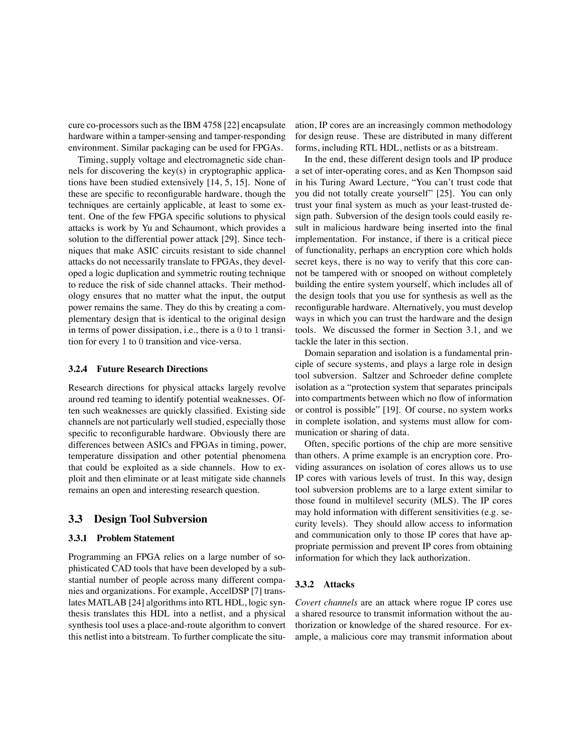cure co-processors such as the IBM 4758 [22] encapsulate hardware within a tamper-sensing and tamper-responding environment. Similar packaging can be used for FPGAs.

Timing, supply voltage and electromagnetic side channels for discovering the key(s) in cryptographic applications have been studied extensively [14, 5, 15]. None of these are specific to reconfigurable hardware, though the techniques are certainly applicable, at least to some extent. One of the few FPGA specific solutions to physical attacks is work by Yu and Schaumont, which provides a solution to the differential power attack [29]. Since techniques that make ASIC circuits resistant to side channel attacks do not necessarily translate to FPGAs, they developed a logic duplication and symmetric routing technique to reduce the risk of side channel attacks. Their methodology ensures that no matter what the input, the output power remains the same. They do this by creating a complementary design that is identical to the original design in terms of power dissipation, i.e., there is a 0 to 1 transition for every 1 to 0 transition and vice-versa.

#### **3.2.4 Future Research Directions**

Research directions for physical attacks largely revolve around red teaming to identify potential weaknesses. Often such weaknesses are quickly classified. Existing side channels are not particularly well studied, especially those specific to reconfigurable hardware. Obviously there are differences between ASICs and FPGAs in timing, power, temperature dissipation and other potential phenomena that could be exploited as a side channels. How to exploit and then eliminate or at least mitigate side channels remains an open and interesting research question.

## **3.3 Design Tool Subversion**

#### **3.3.1 Problem Statement**

Programming an FPGA relies on a large number of sophisticated CAD tools that have been developed by a substantial number of people across many different companies and organizations. For example, AccelDSP [7] translates MATLAB [24] algorithms into RTL HDL, logic synthesis translates this HDL into a netlist, and a physical synthesis tool uses a place-and-route algorithm to convert this netlist into a bitstream. To further complicate the situation, IP cores are an increasingly common methodology for design reuse. These are distributed in many different forms, including RTL HDL, netlists or as a bitstream.

In the end, these different design tools and IP produce a set of inter-operating cores, and as Ken Thompson said in his Turing Award Lecture, "You can't trust code that you did not totally create yourself" [25]. You can only trust your final system as much as your least-trusted design path. Subversion of the design tools could easily result in malicious hardware being inserted into the final implementation. For instance, if there is a critical piece of functionality, perhaps an encryption core which holds secret keys, there is no way to verify that this core cannot be tampered with or snooped on without completely building the entire system yourself, which includes all of the design tools that you use for synthesis as well as the reconfigurable hardware. Alternatively, you must develop ways in which you can trust the hardware and the design tools. We discussed the former in Section 3.1, and we tackle the later in this section.

Domain separation and isolation is a fundamental principle of secure systems, and plays a large role in design tool subversion. Saltzer and Schroeder define complete isolation as a "protection system that separates principals into compartments between which no flow of information or control is possible" [19]. Of course, no system works in complete isolation, and systems must allow for communication or sharing of data.

Often, specific portions of the chip are more sensitive than others. A prime example is an encryption core. Providing assurances on isolation of cores allows us to use IP cores with various levels of trust. In this way, design tool subversion problems are to a large extent similar to those found in multilevel security (MLS). The IP cores may hold information with different sensitivities (e.g. security levels). They should allow access to information and communication only to those IP cores that have appropriate permission and prevent IP cores from obtaining information for which they lack authorization.

#### **3.3.2 Attacks**

*Covert channels* are an attack where rogue IP cores use a shared resource to transmit information without the authorization or knowledge of the shared resource. For example, a malicious core may transmit information about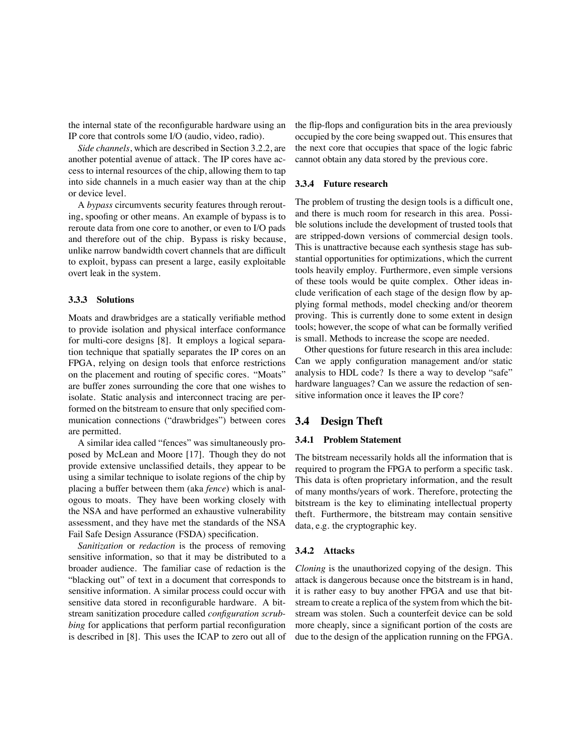the internal state of the reconfigurable hardware using an IP core that controls some I/O (audio, video, radio).

*Side channels*, which are described in Section 3.2.2, are another potential avenue of attack. The IP cores have access to internal resources of the chip, allowing them to tap into side channels in a much easier way than at the chip or device level.

A *bypass* circumvents security features through rerouting, spoofing or other means. An example of bypass is to reroute data from one core to another, or even to I/O pads and therefore out of the chip. Bypass is risky because, unlike narrow bandwidth covert channels that are difficult to exploit, bypass can present a large, easily exploitable overt leak in the system.

#### **3.3.3 Solutions**

Moats and drawbridges are a statically verifiable method to provide isolation and physical interface conformance for multi-core designs [8]. It employs a logical separation technique that spatially separates the IP cores on an FPGA, relying on design tools that enforce restrictions on the placement and routing of specific cores. "Moats" are buffer zones surrounding the core that one wishes to isolate. Static analysis and interconnect tracing are performed on the bitstream to ensure that only specified communication connections ("drawbridges") between cores are permitted.

A similar idea called "fences" was simultaneously proposed by McLean and Moore [17]. Though they do not provide extensive unclassified details, they appear to be using a similar technique to isolate regions of the chip by placing a buffer between them (aka *fence*) which is analogous to moats. They have been working closely with the NSA and have performed an exhaustive vulnerability assessment, and they have met the standards of the NSA Fail Safe Design Assurance (FSDA) specification.

*Sanitization* or *redaction* is the process of removing sensitive information, so that it may be distributed to a broader audience. The familiar case of redaction is the "blacking out" of text in a document that corresponds to sensitive information. A similar process could occur with sensitive data stored in reconfigurable hardware. A bitstream sanitization procedure called *configuration scrubbing* for applications that perform partial reconfiguration is described in [8]. This uses the ICAP to zero out all of the flip-flops and configuration bits in the area previously occupied by the core being swapped out. This ensures that the next core that occupies that space of the logic fabric cannot obtain any data stored by the previous core.

#### **3.3.4 Future research**

The problem of trusting the design tools is a difficult one, and there is much room for research in this area. Possible solutions include the development of trusted tools that are stripped-down versions of commercial design tools. This is unattractive because each synthesis stage has substantial opportunities for optimizations, which the current tools heavily employ. Furthermore, even simple versions of these tools would be quite complex. Other ideas include verification of each stage of the design flow by applying formal methods, model checking and/or theorem proving. This is currently done to some extent in design tools; however, the scope of what can be formally verified is small. Methods to increase the scope are needed.

Other questions for future research in this area include: Can we apply configuration management and/or static analysis to HDL code? Is there a way to develop "safe" hardware languages? Can we assure the redaction of sensitive information once it leaves the IP core?

### **3.4 Design Theft**

#### **3.4.1 Problem Statement**

The bitstream necessarily holds all the information that is required to program the FPGA to perform a specific task. This data is often proprietary information, and the result of many months/years of work. Therefore, protecting the bitstream is the key to eliminating intellectual property theft. Furthermore, the bitstream may contain sensitive data, e.g. the cryptographic key.

#### **3.4.2 Attacks**

*Cloning* is the unauthorized copying of the design. This attack is dangerous because once the bitstream is in hand, it is rather easy to buy another FPGA and use that bitstream to create a replica of the system from which the bitstream was stolen. Such a counterfeit device can be sold more cheaply, since a significant portion of the costs are due to the design of the application running on the FPGA.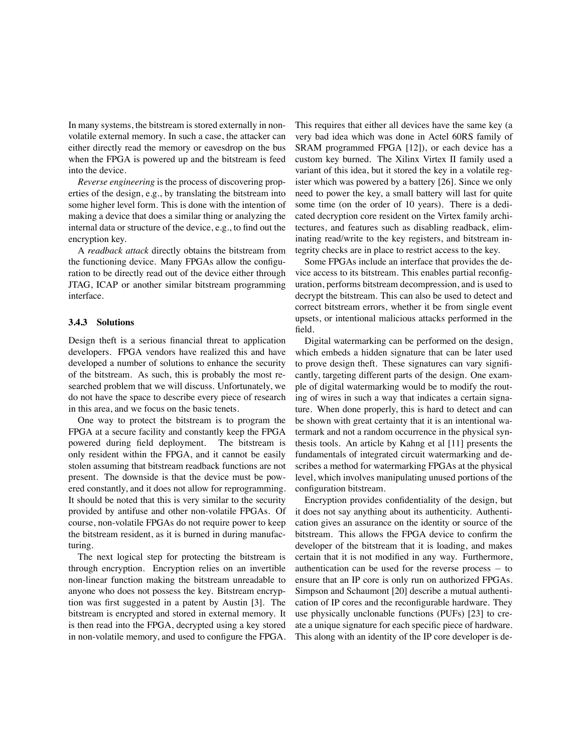In many systems, the bitstream is stored externally in nonvolatile external memory. In such a case, the attacker can either directly read the memory or eavesdrop on the bus when the FPGA is powered up and the bitstream is feed into the device.

*Reverse engineering* is the process of discovering properties of the design, e.g., by translating the bitstream into some higher level form. This is done with the intention of making a device that does a similar thing or analyzing the internal data or structure of the device, e.g., to find out the encryption key.

A *readback attack* directly obtains the bitstream from the functioning device. Many FPGAs allow the configuration to be directly read out of the device either through JTAG, ICAP or another similar bitstream programming interface.

#### **3.4.3 Solutions**

Design theft is a serious financial threat to application developers. FPGA vendors have realized this and have developed a number of solutions to enhance the security of the bitstream. As such, this is probably the most researched problem that we will discuss. Unfortunately, we do not have the space to describe every piece of research in this area, and we focus on the basic tenets.

One way to protect the bitstream is to program the FPGA at a secure facility and constantly keep the FPGA powered during field deployment. The bitstream is only resident within the FPGA, and it cannot be easily stolen assuming that bitstream readback functions are not present. The downside is that the device must be powered constantly, and it does not allow for reprogramming. It should be noted that this is very similar to the security provided by antifuse and other non-volatile FPGAs. Of course, non-volatile FPGAs do not require power to keep the bitstream resident, as it is burned in during manufacturing.

The next logical step for protecting the bitstream is through encryption. Encryption relies on an invertible non-linear function making the bitstream unreadable to anyone who does not possess the key. Bitstream encryption was first suggested in a patent by Austin [3]. The bitstream is encrypted and stored in external memory. It is then read into the FPGA, decrypted using a key stored in non-volatile memory, and used to configure the FPGA. This requires that either all devices have the same key (a very bad idea which was done in Actel 60RS family of SRAM programmed FPGA [12]), or each device has a custom key burned. The Xilinx Virtex II family used a variant of this idea, but it stored the key in a volatile register which was powered by a battery [26]. Since we only need to power the key, a small battery will last for quite some time (on the order of 10 years). There is a dedicated decryption core resident on the Virtex family architectures, and features such as disabling readback, eliminating read/write to the key registers, and bitstream integrity checks are in place to restrict access to the key.

Some FPGAs include an interface that provides the device access to its bitstream. This enables partial reconfiguration, performs bitstream decompression, and is used to decrypt the bitstream. This can also be used to detect and correct bitstream errors, whether it be from single event upsets, or intentional malicious attacks performed in the field.

Digital watermarking can be performed on the design, which embeds a hidden signature that can be later used to prove design theft. These signatures can vary significantly, targeting different parts of the design. One example of digital watermarking would be to modify the routing of wires in such a way that indicates a certain signature. When done properly, this is hard to detect and can be shown with great certainty that it is an intentional watermark and not a random occurrence in the physical synthesis tools. An article by Kahng et al [11] presents the fundamentals of integrated circuit watermarking and describes a method for watermarking FPGAs at the physical level, which involves manipulating unused portions of the configuration bitstream.

Encryption provides confidentiality of the design, but it does not say anything about its authenticity. Authentication gives an assurance on the identity or source of the bitstream. This allows the FPGA device to confirm the developer of the bitstream that it is loading, and makes certain that it is not modified in any way. Furthermore, authentication can be used for the reverse process − to ensure that an IP core is only run on authorized FPGAs. Simpson and Schaumont [20] describe a mutual authentication of IP cores and the reconfigurable hardware. They use physically unclonable functions (PUFs) [23] to create a unique signature for each specific piece of hardware. This along with an identity of the IP core developer is de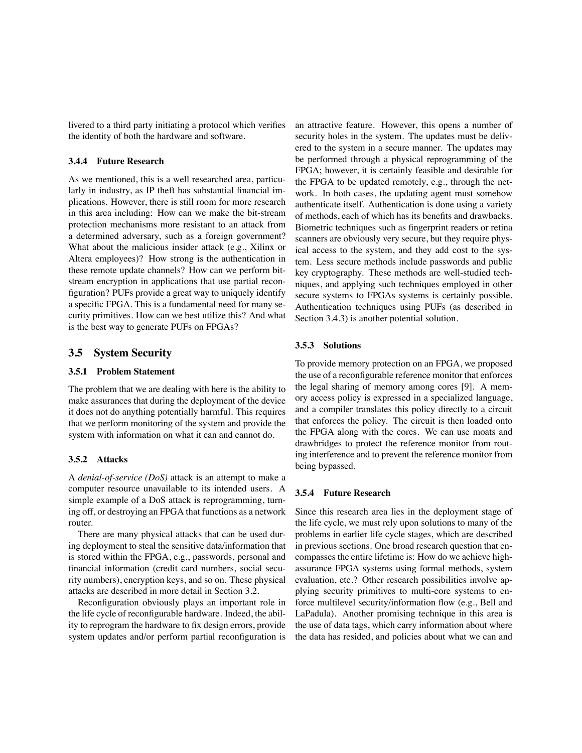livered to a third party initiating a protocol which verifies the identity of both the hardware and software.

# **3.4.4 Future Research**

As we mentioned, this is a well researched area, particularly in industry, as IP theft has substantial financial implications. However, there is still room for more research in this area including: How can we make the bit-stream protection mechanisms more resistant to an attack from a determined adversary, such as a foreign government? What about the malicious insider attack (e.g., Xilinx or Altera employees)? How strong is the authentication in these remote update channels? How can we perform bitstream encryption in applications that use partial reconfiguration? PUFs provide a great way to uniquely identify a specific FPGA. This is a fundamental need for many security primitives. How can we best utilize this? And what is the best way to generate PUFs on FPGAs?

#### **3.5 System Security**

#### **3.5.1 Problem Statement**

The problem that we are dealing with here is the ability to make assurances that during the deployment of the device it does not do anything potentially harmful. This requires that we perform monitoring of the system and provide the system with information on what it can and cannot do.

#### **3.5.2 Attacks**

A *denial-of-service (DoS)* attack is an attempt to make a computer resource unavailable to its intended users. A simple example of a DoS attack is reprogramming, turning off, or destroying an FPGA that functions as a network router.

There are many physical attacks that can be used during deployment to steal the sensitive data/information that is stored within the FPGA, e.g., passwords, personal and financial information (credit card numbers, social security numbers), encryption keys, and so on. These physical attacks are described in more detail in Section 3.2.

Reconfiguration obviously plays an important role in the life cycle of reconfigurable hardware. Indeed, the ability to reprogram the hardware to fix design errors, provide system updates and/or perform partial reconfiguration is an attractive feature. However, this opens a number of security holes in the system. The updates must be delivered to the system in a secure manner. The updates may be performed through a physical reprogramming of the FPGA; however, it is certainly feasible and desirable for the FPGA to be updated remotely, e.g., through the network. In both cases, the updating agent must somehow authenticate itself. Authentication is done using a variety of methods, each of which has its benefits and drawbacks. Biometric techniques such as fingerprint readers or retina scanners are obviously very secure, but they require physical access to the system, and they add cost to the system. Less secure methods include passwords and public key cryptography. These methods are well-studied techniques, and applying such techniques employed in other secure systems to FPGAs systems is certainly possible. Authentication techniques using PUFs (as described in Section 3.4.3) is another potential solution.

#### **3.5.3 Solutions**

To provide memory protection on an FPGA, we proposed the use of a reconfigurable reference monitor that enforces the legal sharing of memory among cores [9]. A memory access policy is expressed in a specialized language, and a compiler translates this policy directly to a circuit that enforces the policy. The circuit is then loaded onto the FPGA along with the cores. We can use moats and drawbridges to protect the reference monitor from routing interference and to prevent the reference monitor from being bypassed.

#### **3.5.4 Future Research**

Since this research area lies in the deployment stage of the life cycle, we must rely upon solutions to many of the problems in earlier life cycle stages, which are described in previous sections. One broad research question that encompasses the entire lifetime is: How do we achieve highassurance FPGA systems using formal methods, system evaluation, etc.? Other research possibilities involve applying security primitives to multi-core systems to enforce multilevel security/information flow (e.g., Bell and LaPadula). Another promising technique in this area is the use of data tags, which carry information about where the data has resided, and policies about what we can and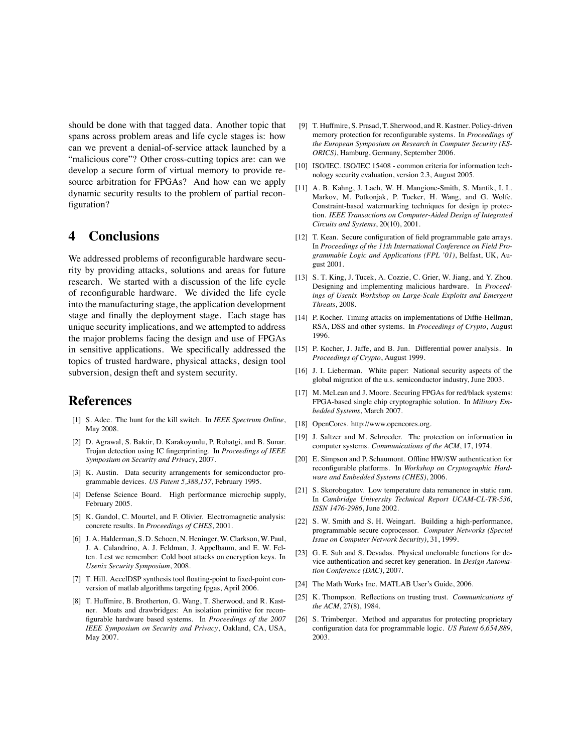should be done with that tagged data. Another topic that spans across problem areas and life cycle stages is: how can we prevent a denial-of-service attack launched by a "malicious core"? Other cross-cutting topics are: can we develop a secure form of virtual memory to provide resource arbitration for FPGAs? And how can we apply dynamic security results to the problem of partial reconfiguration?

# **4 Conclusions**

We addressed problems of reconfigurable hardware security by providing attacks, solutions and areas for future research. We started with a discussion of the life cycle of reconfigurable hardware. We divided the life cycle into the manufacturing stage, the application development stage and finally the deployment stage. Each stage has unique security implications, and we attempted to address the major problems facing the design and use of FPGAs in sensitive applications. We specifically addressed the topics of trusted hardware, physical attacks, design tool subversion, design theft and system security.

# **References**

- [1] S. Adee. The hunt for the kill switch. In *IEEE Spectrum Online*, May 2008.
- [2] D. Agrawal, S. Baktir, D. Karakoyunlu, P. Rohatgi, and B. Sunar. Trojan detection using IC fingerprinting. In *Proceedings of IEEE Symposium on Security and Privacy*, 2007.
- [3] K. Austin. Data security arrangements for semiconductor programmable devices. *US Patent 5,388,157*, February 1995.
- [4] Defense Science Board. High performance microchip supply, February 2005.
- [5] K. Gandol, C. Mourtel, and F. Olivier. Electromagnetic analysis: concrete results. In *Proceedings of CHES*, 2001.
- [6] J. A. Halderman, S. D. Schoen, N. Heninger, W. Clarkson, W. Paul, J. A. Calandrino, A. J. Feldman, J. Appelbaum, and E. W. Felten. Lest we remember: Cold boot attacks on encryption keys. In *Usenix Security Symposium*, 2008.
- [7] T. Hill. AccelDSP synthesis tool floating-point to fixed-point conversion of matlab algorithms targeting fpgas, April 2006.
- [8] T. Huffmire, B. Brotherton, G. Wang, T. Sherwood, and R. Kastner. Moats and drawbridges: An isolation primitive for reconfigurable hardware based systems. In *Proceedings of the 2007 IEEE Symposium on Security and Privacy*, Oakland, CA, USA, May 2007.
- [9] T. Huffmire, S. Prasad, T. Sherwood, and R. Kastner. Policy-driven memory protection for reconfigurable systems. In *Proceedings of the European Symposium on Research in Computer Security (ES-ORICS)*, Hamburg, Germany, September 2006.
- [10] ISO/IEC. ISO/IEC 15408 common criteria for information technology security evaluation, version 2.3, August 2005.
- [11] A. B. Kahng, J. Lach, W. H. Mangione-Smith, S. Mantik, I. L. Markov, M. Potkonjak, P. Tucker, H. Wang, and G. Wolfe. Constraint-based watermarking techniques for design ip protection. *IEEE Transactions on Computer-Aided Design of Integrated Circuits and Systems*, 20(10), 2001.
- [12] T. Kean. Secure configuration of field programmable gate arrays. In *Proceedings of the 11th International Conference on Field Programmable Logic and Applications (FPL '01)*, Belfast, UK, August 2001.
- [13] S. T. King, J. Tucek, A. Cozzie, C. Grier, W. Jiang, and Y. Zhou. Designing and implementing malicious hardware. In *Proceedings of Usenix Workshop on Large-Scale Exploits and Emergent Threats*, 2008.
- [14] P. Kocher. Timing attacks on implementations of Diffie-Hellman, RSA, DSS and other systems. In *Proceedings of Crypto*, August 1996.
- [15] P. Kocher, J. Jaffe, and B. Jun. Differential power analysis. In *Proceedings of Crypto*, August 1999.
- [16] J. I. Lieberman. White paper: National security aspects of the global migration of the u.s. semiconductor industry, June 2003.
- [17] M. McLean and J. Moore. Securing FPGAs for red/black systems: FPGA-based single chip cryptographic solution. In *Military Embedded Systems*, March 2007.
- [18] OpenCores. http://www.opencores.org.
- [19] J. Saltzer and M. Schroeder. The protection on information in computer systems. *Communications of the ACM*, 17, 1974.
- [20] E. Simpson and P. Schaumont. Offline HW/SW authentication for reconfigurable platforms. In *Workshop on Cryptographic Hardware and Embedded Systems (CHES)*, 2006.
- [21] S. Skorobogatov. Low temperature data remanence in static ram. In *Cambridge University Technical Report UCAM-CL-TR-536, ISSN 1476-2986*, June 2002.
- [22] S. W. Smith and S. H. Weingart. Building a high-performance, programmable secure coprocessor. *Computer Networks (Special Issue on Computer Network Security)*, 31, 1999.
- [23] G. E. Suh and S. Devadas. Physical unclonable functions for device authentication and secret key generation. In *Design Automation Conference (DAC)*, 2007.
- [24] The Math Works Inc. MATLAB User's Guide, 2006.
- [25] K. Thompson. Reflections on trusting trust. *Communications of the ACM*, 27(8), 1984.
- [26] S. Trimberger. Method and apparatus for protecting proprietary configuration data for programmable logic. *US Patent 6,654,889*, 2003.